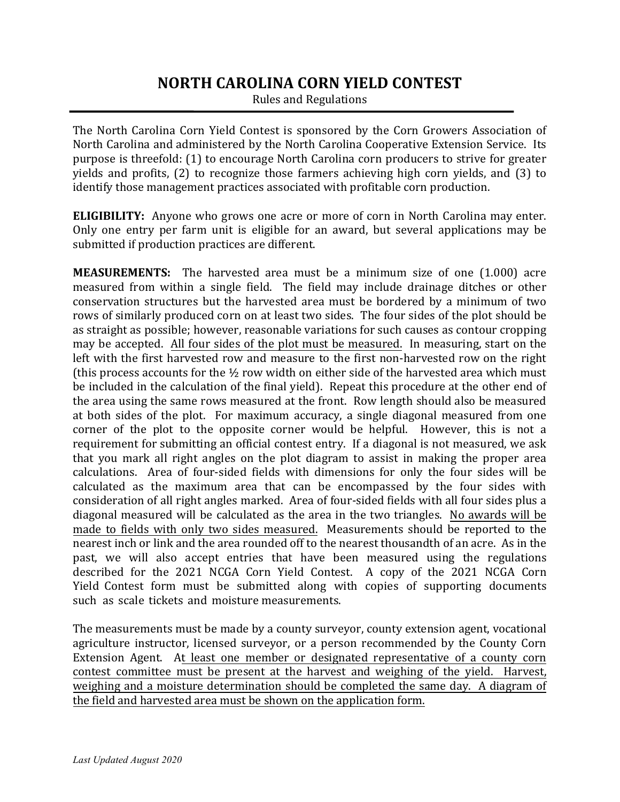# **NORTH CAROLINA CORN YIELD CONTEST**

Rules and Regulations

The North Carolina Corn Yield Contest is sponsored by the Corn Growers Association of North Carolina and administered by the North Carolina Cooperative Extension Service. Its purpose is threefold: (1) to encourage North Carolina corn producers to strive for greater yields and profits, (2) to recognize those farmers achieving high corn yields, and (3) to identify those management practices associated with profitable corn production.

**ELIGIBILITY:** Anyone who grows one acre or more of corn in North Carolina may enter. Only one entry per farm unit is eligible for an award, but several applications may be submitted if production practices are different.

**MEASUREMENTS:** The harvested area must be a minimum size of one (1.000) acre measured from within a single field. The field may include drainage ditches or other conservation structures but the harvested area must be bordered by a minimum of two rows of similarly produced corn on at least two sides. The four sides of the plot should be as straight as possible; however, reasonable variations for such causes as contour cropping may be accepted. All four sides of the plot must be measured. In measuring, start on the left with the first harvested row and measure to the first non-harvested row on the right (this process accounts for the  $\frac{1}{2}$  row width on either side of the harvested area which must be included in the calculation of the final yield). Repeat this procedure at the other end of the area using the same rows measured at the front. Row length should also be measured at both sides of the plot. For maximum accuracy, a single diagonal measured from one corner of the plot to the opposite corner would be helpful. However, this is not a requirement for submitting an official contest entry. If a diagonal is not measured, we ask that you mark all right angles on the plot diagram to assist in making the proper area calculations. Area of four-sided fields with dimensions for only the four sides will be calculated as the maximum area that can be encompassed by the four sides with consideration of all right angles marked. Area of four-sided fields with all four sides plus a diagonal measured will be calculated as the area in the two triangles. No awards will be made to fields with only two sides measured. Measurements should be reported to the nearest inch or link and the area rounded off to the nearest thousandth of an acre. As in the past, we will also accept entries that have been measured using the regulations described for the 2021 NCGA Corn Yield Contest. A copy of the 2021 NCGA Corn Yield Contest form must be submitted along with copies of supporting documents such as scale tickets and moisture measurements.

The measurements must be made by a county surveyor, county extension agent, vocational agriculture instructor, licensed surveyor, or a person recommended by the County Corn Extension Agent. At least one member or designated representative of a county corn contest committee must be present at the harvest and weighing of the yield. Harvest, weighing and a moisture determination should be completed the same day. A diagram of the field and harvested area must be shown on the application form.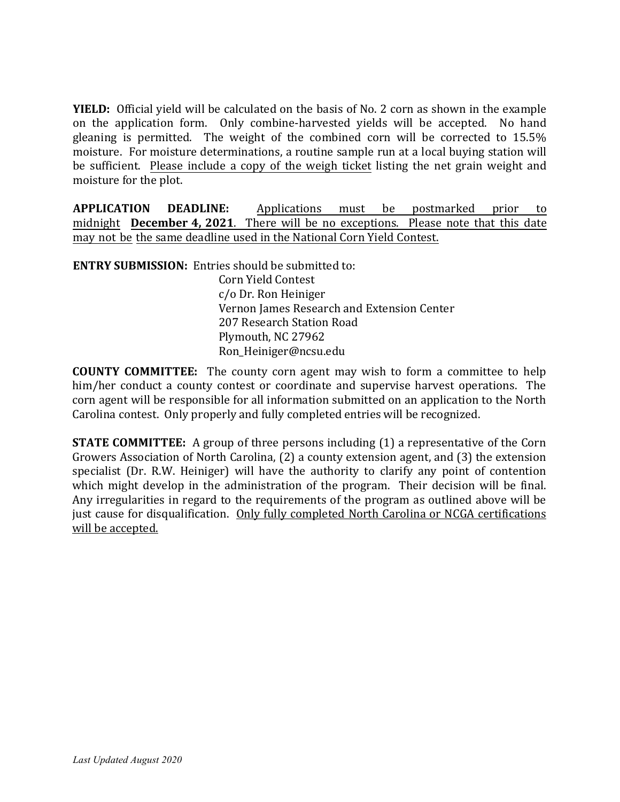**YIELD:** Official yield will be calculated on the basis of No. 2 corn as shown in the example on the application form. Only combine-harvested yields will be accepted. No hand gleaning is permitted. The weight of the combined corn will be corrected to 15.5% moisture. For moisture determinations, a routine sample run at a local buying station will be sufficient. Please include a copy of the weigh ticket listing the net grain weight and moisture for the plot.

**APPLICATION DEADLINE:** Applications must be postmarked prior to midnight **December 4, 2021**. There will be no exceptions. Please note that this date may not be the same deadline used in the National Corn Yield Contest.

**ENTRY SUBMISSION:** Entries should be submitted to: Corn Yield Contest c/o Dr. Ron Heiniger Vernon James Research and Extension Center 207 Research Station Road Plymouth, NC 27962 Ron\_Heiniger@ncsu.edu

**COUNTY COMMITTEE:** The county corn agent may wish to form a committee to help him/her conduct a county contest or coordinate and supervise harvest operations. The corn agent will be responsible for all information submitted on an application to the North Carolina contest. Only properly and fully completed entries will be recognized.

**STATE COMMITTEE:** A group of three persons including (1) a representative of the Corn Growers Association of North Carolina, (2) a county extension agent, and (3) the extension specialist (Dr. R.W. Heiniger) will have the authority to clarify any point of contention which might develop in the administration of the program. Their decision will be final. Any irregularities in regard to the requirements of the program as outlined above will be just cause for disqualification. Only fully completed North Carolina or NCGA certifications will be accepted.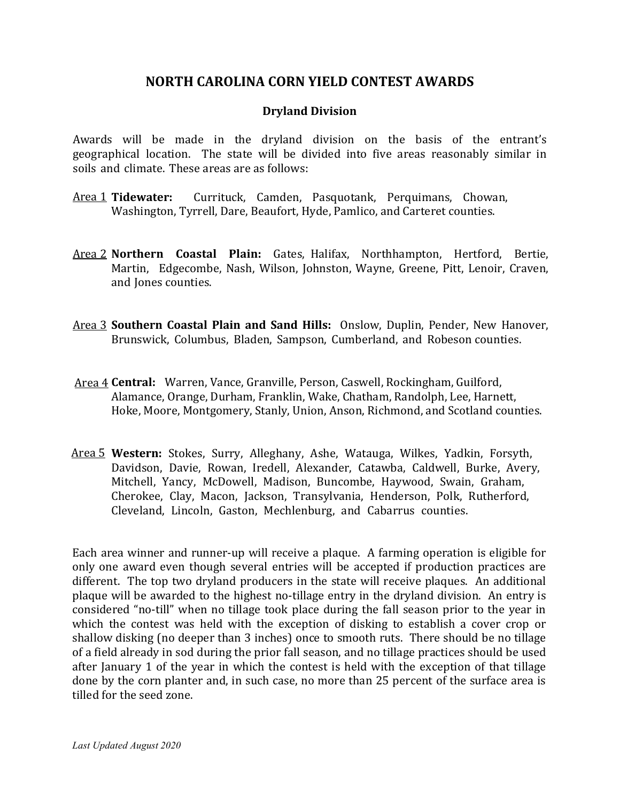## **NORTH CAROLINA CORN YIELD CONTEST AWARDS**

#### **Dryland Division**

Awards will be made in the dryland division on the basis of the entrant's geographical location. The state will be divided into five areas reasonably similar in soils and climate. These areas are as follows:

- Area 1 Tidewater: **Tidewater:** Currituck, Camden, Pasquotank, Perquimans, Chowan, Washington, Tyrrell, Dare, Beaufort, Hyde, Pamlico, and Carteret counties.
- Area 2 **Northern Coastal Plain:** Gates, Halifax, Northhampton, Hertford, Bertie, Martin, Edgecombe, Nash, Wilson, Johnston, Wayne, Greene, Pitt, Lenoir, Craven, and Jones counties.
- Area 3 **Southern Coastal Plain and Sand Hills:** Onslow, Duplin, Pender, New Hanover, Brunswick, Columbus, Bladen, Sampson, Cumberland, and Robeson counties.
- Area 4 **Central:** Warren, Vance, Granville, Person, Caswell, Rockingham, Guilford, Alamance, Orange, Durham, Franklin, Wake, Chatham, Randolph, Lee, Harnett, Hoke, Moore, Montgomery, Stanly, Union, Anson, Richmond, and Scotland counties.
- Area 5 **Western:** Stokes, Surry, Alleghany, Ashe, Watauga, Wilkes, Yadkin, Forsyth, Davidson, Davie, Rowan, Iredell, Alexander, Catawba, Caldwell, Burke, Avery, Mitchell, Yancy, McDowell, Madison, Buncombe, Haywood, Swain, Graham, Cherokee, Clay, Macon, Jackson, Transylvania, Henderson, Polk, Rutherford, Cleveland, Lincoln, Gaston, Mechlenburg, and Cabarrus counties.

Each area winner and runner-up will receive a plaque. A farming operation is eligible for only one award even though several entries will be accepted if production practices are different. The top two dryland producers in the state will receive plaques. An additional plaque will be awarded to the highest no-tillage entry in the dryland division. An entry is considered "no-till" when no tillage took place during the fall season prior to the year in which the contest was held with the exception of disking to establish a cover crop or shallow disking (no deeper than 3 inches) once to smooth ruts. There should be no tillage of a field already in sod during the prior fall season, and no tillage practices should be used after January 1 of the year in which the contest is held with the exception of that tillage done by the corn planter and, in such case, no more than 25 percent of the surface area is tilled for the seed zone.